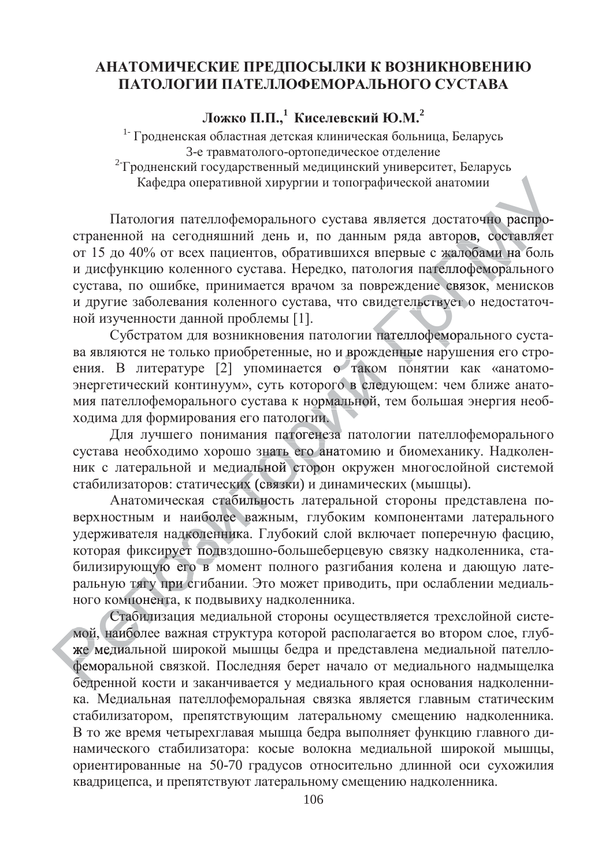## АНАТОМИЧЕСКИЕ ПРЕДПОСЫЛКИ К ВОЗНИКНОВЕНИЮ ПАТОЛОГИИ ПАТЕЛЛОФЕМОРАЛЬНОГО СУСТАВА

**Ложко** П.П.,<sup>1</sup> Киселевский Ю.М.<sup>2</sup>

<sup>1-</sup> Гродненская областная детская клиническая больница, Беларусь 3-е травматолого-ортопедическое отделение <sup>2</sup> Гродненский государственный медицинский университет, Беларусь Кафедра оперативной хирургии и топографической анатомии

Патология пателлофеморального сустава является достаточно распространенной на сегодняшний день и, по данным ряда авторов, составляет от 15 до 40% от всех пациентов, обратившихся впервые с жалобами на боль и дисфункцию коленного сустава. Нередко, патология пателлофеморального сустава, по ошибке, принимается врачом за повреждение связок, менисков и другие заболевания коленного сустава, что свидетельствует о недостаточной изученности данной проблемы [1].<br>ной изученности данной проблемы [1].<br>Субстратом для возникновения патологии пателлофеморального сустаной изученности данной проблемы [1]. с жалоба<br>ателлофем<br>ие связок<br>ствует о н ателлофемора гаточно <mark>рас</mark><br>ров, состав<br>пофемораль<br>пофемораль томии<br>гаточно распро-<br>ров, составляет

Субстратом для возникновения патологии пателлофеморального сустаа другие засолевания коленного сустава, то свидетельствует о недостато и ной изученности данной проблемы [1].<br>Субстратом для возникновения патологии пателлофеморального сустава являются не только приобретенные, но и врожд ения. В литературе [2] упоминается о таком понятии как «анатомоэнергетический континуум», суть которого в следующем: чем ближе анатоыергетитеский континууми, суть которого в следующем. Тем ониме анатомия пателлофеморального сустава к нормальной, тем большая энергия необ-<br>ходима для формирования его патологии.<br>Пля лучшего понимания патогенеза патологии ходима для формирования его патологии. ) и врожде<br>о таком<br>эго в след<br>мальной, го в след

а для формирования его патологии.<br>Для лучшего понимания патогенеза патологии пателлофеморального сустава необходимо хорошо знать его анатомию и биомеханику. Надколен-<br>ник с латеральной и медиальной сторон окружен многослойной системой<br>стабилизаторов: статических (связки) и динамических (мышцы). ник с латеральной и медиальной сторон окружен многослойной системой тологии.<br>атогенеза<br>ъего ана<br>йсторон анат

етабилизаторов: статических (связки) и динамических (мышцы).<br>Анатомическая стабильность латеральной стороны пред<br>верхностным и наиболее важным глубоким компонентами Анатомическая стабильность латеральной стороны представлена поверхностным и наиболее важным, глубоким компонентами латерального удерживателя надколенника. Глубокий слой включает поперечную фасцию, которая фиксирует подвздошно-большеберцевую связку надколенника, стабилизирующую его в момент полного разгибания колена и дающую латеральную тягу при сгибании. Это может приводить, при ослаблении медиального компонента, к подвывиху надколенника. ую тягу при сгибании. Это может приводить, при ослаблении медиаль-<br>:омпонента, к подвывиху надколенника.<br>Стабилизация медиальной стороны осуществляется трехслойной систесирует<br>1ую его<br>у при сг щую его в дколен<br>/ет под<br>его в м yet подв и стабил<br>более в<br>пенника более важ

мой, наиболее важная структура которой располагается во втором слое, глубже медиальной широкой мышцы бедра и представлена медиальной пателлофеморальной связкой. Последняя берет начало от медиального надмыщелка бедренной кости и заканчивается у медиального края основания надколенника. Медиальная пателлофеморальная связка является главным статическим стабилизатором, препятствующим латеральному смещению надколенника. В то же время четырехглавая мышца бедра выполняет функцию главного динамического стабилизатора: косые волокна медиальной широкой мышцы, ориентированные на 50-70 градусов относительно длинной оси сухожилия квадрицепса, и препятствуют латеральному смещению надколенника. мой, на<br>же мед<br>фемора<br>белрен же медиа с компол<br>Стаби<br>и, наибол<br>медиаль й, наибол